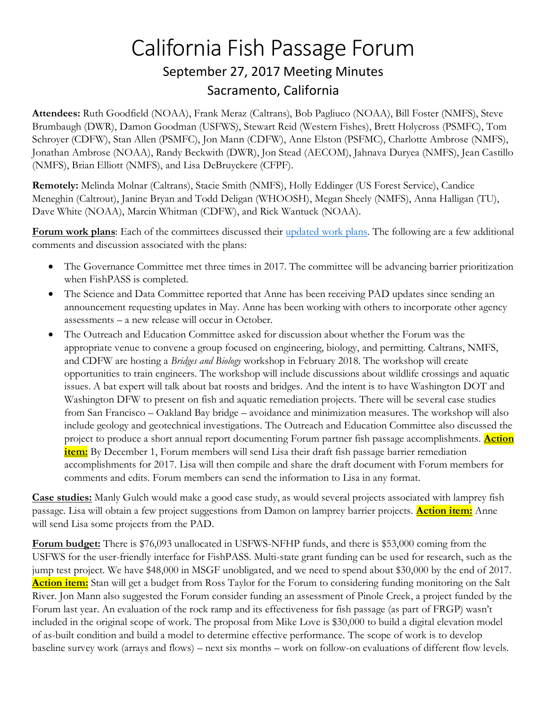# California Fish Passage Forum September 27, 2017 Meeting Minutes Sacramento, California

**Attendees:** Ruth Goodfield (NOAA), Frank Meraz (Caltrans), Bob Pagliuco (NOAA), Bill Foster (NMFS), Steve Brumbaugh (DWR), Damon Goodman (USFWS), Stewart Reid (Western Fishes), Brett Holycross (PSMFC), Tom Schroyer (CDFW), Stan Allen (PSMFC), Jon Mann (CDFW), Anne Elston (PSFMC), Charlotte Ambrose (NMFS), Jonathan Ambrose (NOAA), Randy Beckwith (DWR), Jon Stead (AECOM), Jahnava Duryea (NMFS), Jean Castillo (NMFS), Brian Elliott (NMFS), and Lisa DeBruyckere (CFPF).

**Remotely:** Melinda Molnar (Caltrans), Stacie Smith (NMFS), Holly Eddinger (US Forest Service), Candice Meneghin (Caltrout), Janine Bryan and Todd Deligan (WHOOSH), Megan Sheely (NMFS), Anna Halligan (TU), Dave White (NOAA), Marcin Whitman (CDFW), and Rick Wantuck (NOAA).

Forum work plans: Each of the committees discussed their [updated work plans.](http://www.cafishpassageforum.org/index.cfm?fuseaction=content.display&pageID=186) The following are a few additional comments and discussion associated with the plans:

- The Governance Committee met three times in 2017. The committee will be advancing barrier prioritization when FishPASS is completed.
- The Science and Data Committee reported that Anne has been receiving PAD updates since sending an announcement requesting updates in May. Anne has been working with others to incorporate other agency assessments – a new release will occur in October.
- The Outreach and Education Committee asked for discussion about whether the Forum was the appropriate venue to convene a group focused on engineering, biology, and permitting. Caltrans, NMFS, and CDFW are hosting a *Bridges and Biology* workshop in February 2018. The workshop will create opportunities to train engineers. The workshop will include discussions about wildlife crossings and aquatic issues. A bat expert will talk about bat roosts and bridges. And the intent is to have Washington DOT and Washington DFW to present on fish and aquatic remediation projects. There will be several case studies from San Francisco – Oakland Bay bridge – avoidance and minimization measures. The workshop will also include geology and geotechnical investigations. The Outreach and Education Committee also discussed the project to produce a short annual report documenting Forum partner fish passage accomplishments. **Action item:** By December 1, Forum members will send Lisa their draft fish passage barrier remediation accomplishments for 2017. Lisa will then compile and share the draft document with Forum members for comments and edits. Forum members can send the information to Lisa in any format.

**Case studies:** Manly Gulch would make a good case study, as would several projects associated with lamprey fish passage. Lisa will obtain a few project suggestions from Damon on lamprey barrier projects. **Action item:** Anne will send Lisa some projects from the PAD.

**Forum budget:** There is \$76,093 unallocated in USFWS-NFHP funds, and there is \$53,000 coming from the USFWS for the user-friendly interface for FishPASS. Multi-state grant funding can be used for research, such as the jump test project. We have \$48,000 in MSGF unobligated, and we need to spend about \$30,000 by the end of 2017. **Action item:** Stan will get a budget from Ross Taylor for the Forum to considering funding monitoring on the Salt River. Jon Mann also suggested the Forum consider funding an assessment of Pinole Creek, a project funded by the Forum last year. An evaluation of the rock ramp and its effectiveness for fish passage (as part of FRGP) wasn't included in the original scope of work. The proposal from Mike Love is \$30,000 to build a digital elevation model of as-built condition and build a model to determine effective performance. The scope of work is to develop baseline survey work (arrays and flows) – next six months – work on follow-on evaluations of different flow levels.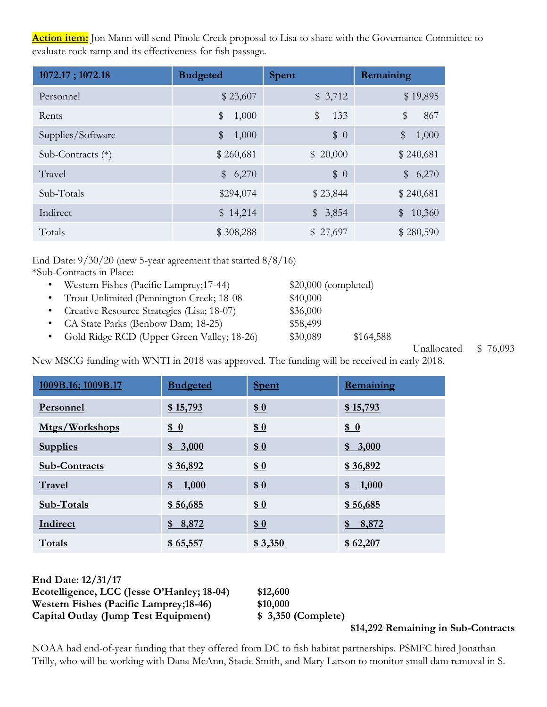**Action item:** Jon Mann will send Pinole Creek proposal to Lisa to share with the Governance Committee to evaluate rock ramp and its effectiveness for fish passage.

| 1072.17; 1072.18    | <b>Budgeted</b> | <b>Spent</b>   | Remaining               |
|---------------------|-----------------|----------------|-------------------------|
| Personnel           | \$23,607        | \$3,712        | \$19,895                |
| Rents               | \$<br>1,000     | \$<br>133      | \$<br>867               |
| Supplies/Software   | \$<br>1,000     | \$0            | \$<br>1,000             |
| Sub-Contracts $(*)$ | \$260,681       | \$20,000       | \$240,681               |
| Travel              | \$6,270         | \$0            | \$6,270                 |
| Sub-Totals          | \$294,074       | \$23,844       | \$240,681               |
| Indirect            | \$14,214        | $\$\$<br>3,854 | 10,360<br>$\mathcal{L}$ |
| Totals              | \$308,288       | \$27,697       | \$280,590               |

End Date: 9/30/20 (new 5-year agreement that started 8/8/16) \*Sub-Contracts in Place:

• Western Fishes (Pacific Lamprey; 17-44) \$20,000 (completed) • Trout Unlimited (Pennington Creek; 18-08 \$40,000 • Creative Resource Strategies (Lisa; 18-07) \$36,000 CA State Parks (Benbow Dam; 18-25) \$58,499 • Gold Ridge RCD (Upper Green Valley; 18-26) \$30,089 \$164,588

New MSCG funding with WNTI in 2018 was approved. The funding will be received in early 2018.

| 1009B.16; 1009B.17   | <b>Budgeted</b> | <b>Spent</b>  | Remaining |
|----------------------|-----------------|---------------|-----------|
| Personnel            | \$15,793        | 60            | \$15,793  |
| Mtgs/Workshops       | 60              | 60            | 60        |
| <b>Supplies</b>      | \$3,000         | 60            | \$3,000   |
| <b>Sub-Contracts</b> | \$36,892        | 60            | \$36,892  |
| Travel               | \$1,000         | 60            | \$1,000   |
| Sub-Totals           | \$56,685        | 60            | \$56,685  |
| Indirect             | \$8,872         | $\frac{1}{2}$ | \$8,872   |
| Totals               | \$65,557        | \$3,350       | \$62,207  |

| End Date: 12/31/17                             |                    |           |
|------------------------------------------------|--------------------|-----------|
| Ecotelligence, LCC (Jesse O'Hanley; 18-04)     | \$12,600           |           |
| <b>Western Fishes (Pacific Lamprey; 18-46)</b> | \$10,000           |           |
| Capital Outlay (Jump Test Equipment)           | \$3,350 (Complete) |           |
|                                                |                    | 611 JOQ T |

**\$14,292 Remaining in Sub-Contracts**

NOAA had end-of-year funding that they offered from DC to fish habitat partnerships. PSMFC hired Jonathan Trilly, who will be working with Dana McAnn, Stacie Smith, and Mary Larson to monitor small dam removal in S.

Unallocated \$ 76,093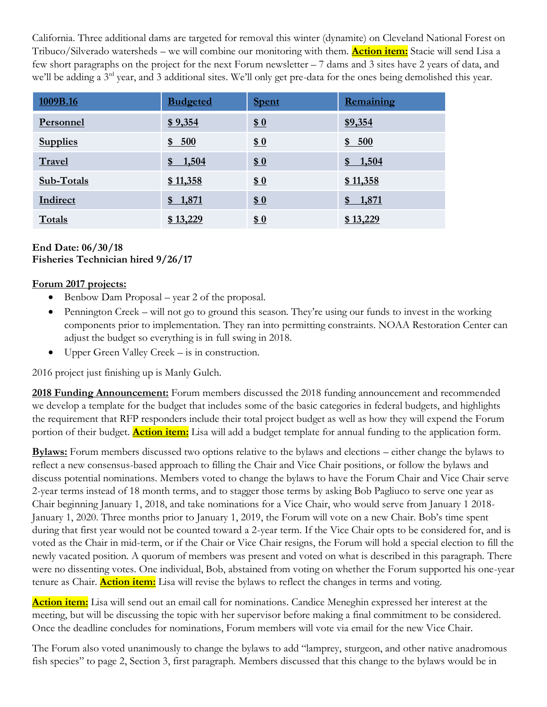California. Three additional dams are targeted for removal this winter (dynamite) on Cleveland National Forest on Tribuco/Silverado watersheds – we will combine our monitoring with them. **Action item:** Stacie will send Lisa a few short paragraphs on the project for the next Forum newsletter – 7 dams and 3 sites have 2 years of data, and we'll be adding a 3<sup>rd</sup> year, and 3 additional sites. We'll only get pre-data for the ones being demolished this year.

| 1009B.16        | <b>Budgeted</b> | <b>Spent</b> | Remaining |
|-----------------|-----------------|--------------|-----------|
| Personnel       | \$9,354         | 60           | \$9,354   |
| <b>Supplies</b> | \$500           | \$0          | \$500     |
| Travel          | \$1,504         | 60           | \$1,504   |
| Sub-Totals      | \$11,358        | \$0          | \$11,358  |
| Indirect        | \$1,871         | \$0          | \$1,871   |
| Totals          | \$13,229        | \$0          | \$13,229  |

#### **End Date: 06/30/18 Fisheries Technician hired 9/26/17**

## **Forum 2017 projects:**

- Benbow Dam Proposal year 2 of the proposal.
- Pennington Creek will not go to ground this season. They're using our funds to invest in the working components prior to implementation. They ran into permitting constraints. NOAA Restoration Center can adjust the budget so everything is in full swing in 2018.
- Upper Green Valley Creek is in construction.

2016 project just finishing up is Manly Gulch.

**2018 Funding Announcement:** Forum members discussed the 2018 funding announcement and recommended we develop a template for the budget that includes some of the basic categories in federal budgets, and highlights the requirement that RFP responders include their total project budget as well as how they will expend the Forum portion of their budget. **Action item:** Lisa will add a budget template for annual funding to the application form.

**Bylaws:** Forum members discussed two options relative to the bylaws and elections – either change the bylaws to reflect a new consensus-based approach to filling the Chair and Vice Chair positions, or follow the bylaws and discuss potential nominations. Members voted to change the bylaws to have the Forum Chair and Vice Chair serve 2-year terms instead of 18 month terms, and to stagger those terms by asking Bob Pagliuco to serve one year as Chair beginning January 1, 2018, and take nominations for a Vice Chair, who would serve from January 1 2018- January 1, 2020. Three months prior to January 1, 2019, the Forum will vote on a new Chair. Bob's time spent during that first year would not be counted toward a 2-year term. If the Vice Chair opts to be considered for, and is voted as the Chair in mid-term, or if the Chair or Vice Chair resigns, the Forum will hold a special election to fill the newly vacated position. A quorum of members was present and voted on what is described in this paragraph. There were no dissenting votes. One individual, Bob, abstained from voting on whether the Forum supported his one-year tenure as Chair. **Action item:** Lisa will revise the bylaws to reflect the changes in terms and voting.

**Action item:** Lisa will send out an email call for nominations. Candice Meneghin expressed her interest at the meeting, but will be discussing the topic with her supervisor before making a final commitment to be considered. Once the deadline concludes for nominations, Forum members will vote via email for the new Vice Chair.

The Forum also voted unanimously to change the bylaws to add "lamprey, sturgeon, and other native anadromous fish species" to page 2, Section 3, first paragraph. Members discussed that this change to the bylaws would be in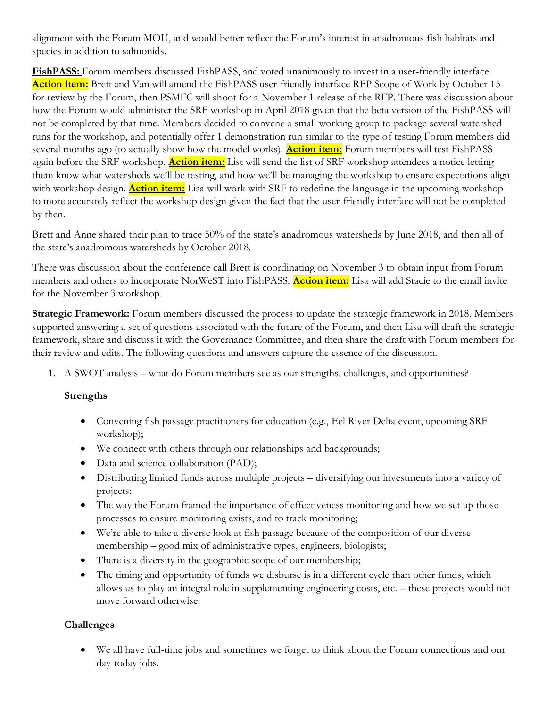alignment with the Forum MOU, and would better reflect the Forum's interest in anadromous fish habitats and species in addition to salmonids.

**FishPASS:** Forum members discussed FishPASS, and voted unanimously to invest in a user-friendly interface. **Action item:** Brett and Van will amend the FishPASS user-friendly interface RFP Scope of Work by October 15 for review by the Forum, then PSMFC will shoot for a November 1 release of the RFP. There was discussion about how the Forum would administer the SRF workshop in April 2018 given that the beta version of the FishPASS will not be completed by that time. Members decided to convene a small working group to package several watershed runs for the workshop, and potentially offer 1 demonstration run similar to the type of testing Forum members did several months ago (to actually show how the model works). **Action item:** Forum members will test FishPASS again before the SRF workshop. **Action item:** List will send the list of SRF workshop attendees a notice letting them know what watersheds we'll be testing, and how we'll be managing the workshop to ensure expectations align with workshop design. **Action item:** Lisa will work with SRF to redefine the language in the upcoming workshop to more accurately reflect the workshop design given the fact that the user-friendly interface will not be completed by then.

Brett and Anne shared their plan to trace 50% of the state's anadromous watersheds by June 2018, and then all of the state's anadromous watersheds by October 2018.

There was discussion about the conference call Brett is coordinating on November 3 to obtain input from Forum members and others to incorporate NorWeST into FishPASS. **Action item:** Lisa will add Stacie to the email invite for the November 3 workshop.

**Strategic Framework:** Forum members discussed the process to update the strategic framework in 2018. Members supported answering a set of questions associated with the future of the Forum, and then Lisa will draft the strategic framework, share and discuss it with the Governance Committee, and then share the draft with Forum members for their review and edits. The following questions and answers capture the essence of the discussion.

1. A SWOT analysis – what do Forum members see as our strengths, challenges, and opportunities?

### **Strengths**

- Convening fish passage practitioners for education (e.g., Eel River Delta event, upcoming SRF workshop);
- We connect with others through our relationships and backgrounds;
- Data and science collaboration (PAD);
- Distributing limited funds across multiple projects diversifying our investments into a variety of projects;
- The way the Forum framed the importance of effectiveness monitoring and how we set up those processes to ensure monitoring exists, and to track monitoring;
- We're able to take a diverse look at fish passage because of the composition of our diverse membership – good mix of administrative types, engineers, biologists;
- There is a diversity in the geographic scope of our membership;
- The timing and opportunity of funds we disburse is in a different cycle than other funds, which allows us to play an integral role in supplementing engineering costs, etc. – these projects would not move forward otherwise.

### **Challenges**

• We all have full-time jobs and sometimes we forget to think about the Forum connections and our day-today jobs.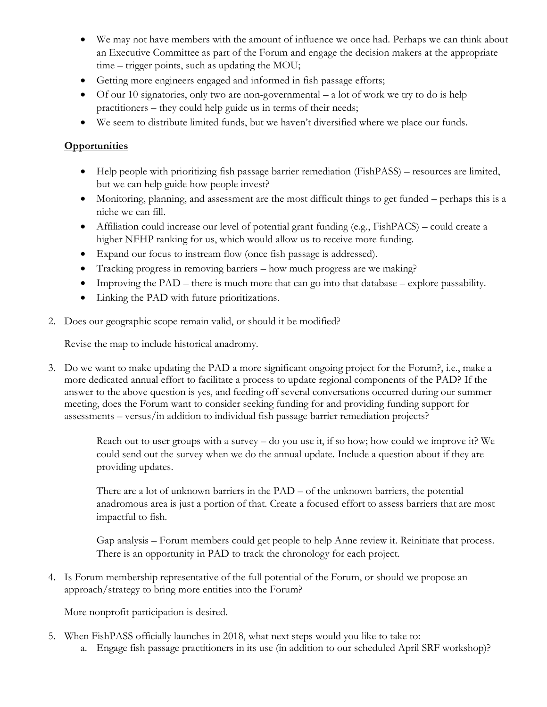- We may not have members with the amount of influence we once had. Perhaps we can think about an Executive Committee as part of the Forum and engage the decision makers at the appropriate time – trigger points, such as updating the MOU;
- Getting more engineers engaged and informed in fish passage efforts;
- Of our 10 signatories, only two are non-governmental a lot of work we try to do is help practitioners – they could help guide us in terms of their needs;
- We seem to distribute limited funds, but we haven't diversified where we place our funds.

# **Opportunities**

- Help people with prioritizing fish passage barrier remediation (FishPASS) resources are limited, but we can help guide how people invest?
- Monitoring, planning, and assessment are the most difficult things to get funded perhaps this is a niche we can fill.
- Affiliation could increase our level of potential grant funding (e.g., FishPACS) could create a higher NFHP ranking for us, which would allow us to receive more funding.
- Expand our focus to instream flow (once fish passage is addressed).
- Tracking progress in removing barriers how much progress are we making?
- Improving the PAD there is much more that can go into that database explore passability.
- Linking the PAD with future prioritizations.
- 2. Does our geographic scope remain valid, or should it be modified?

Revise the map to include historical anadromy.

3. Do we want to make updating the PAD a more significant ongoing project for the Forum?, i.e., make a more dedicated annual effort to facilitate a process to update regional components of the PAD? If the answer to the above question is yes, and feeding off several conversations occurred during our summer meeting, does the Forum want to consider seeking funding for and providing funding support for assessments – versus/in addition to individual fish passage barrier remediation projects?

> Reach out to user groups with a survey – do you use it, if so how; how could we improve it? We could send out the survey when we do the annual update. Include a question about if they are providing updates.

> There are a lot of unknown barriers in the PAD – of the unknown barriers, the potential anadromous area is just a portion of that. Create a focused effort to assess barriers that are most impactful to fish.

> Gap analysis – Forum members could get people to help Anne review it. Reinitiate that process. There is an opportunity in PAD to track the chronology for each project.

4. Is Forum membership representative of the full potential of the Forum, or should we propose an approach/strategy to bring more entities into the Forum?

More nonprofit participation is desired.

- 5. When FishPASS officially launches in 2018, what next steps would you like to take to:
	- a. Engage fish passage practitioners in its use (in addition to our scheduled April SRF workshop)?